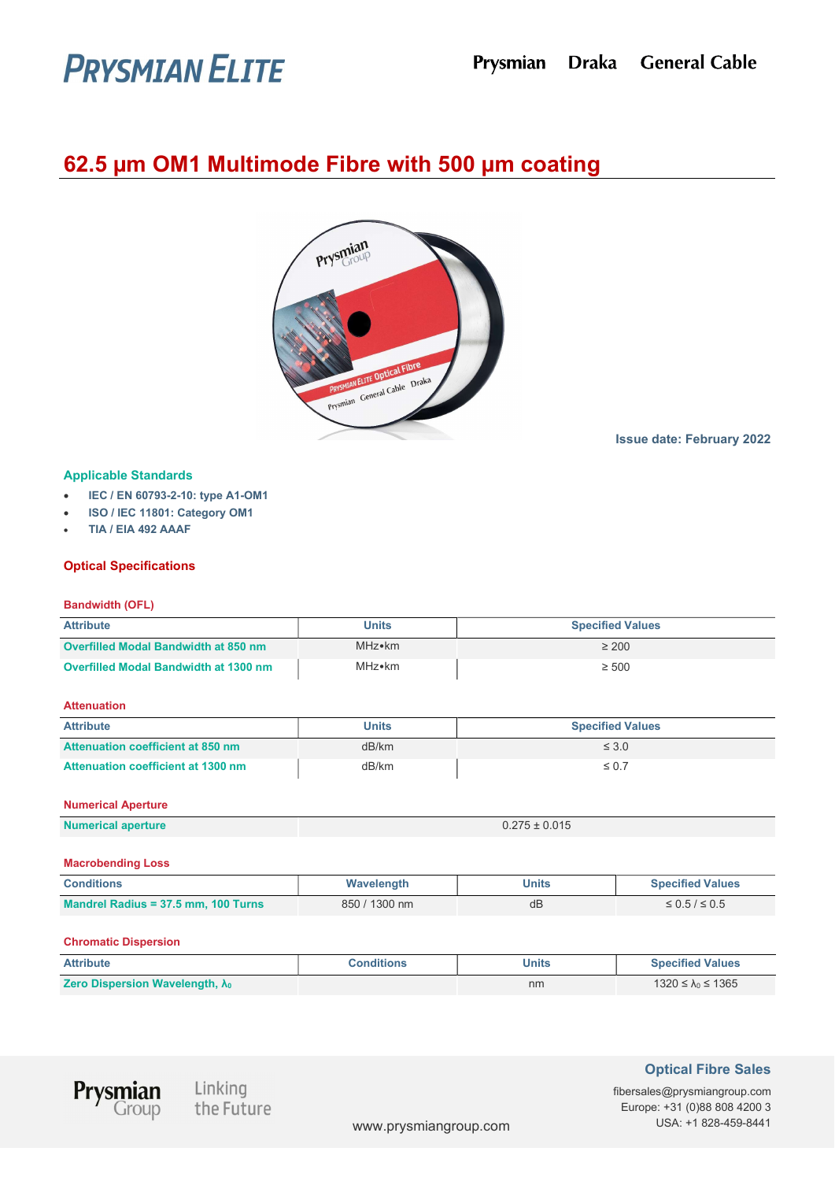# **PRYSMIAN ELITE**

# 62.5 µm OM1 Multimode Fibre with 500 µm coating



Issue date: February 2022

# Applicable Standards

- IEC / EN 60793-2-10: type A1-OM1
- ISO / IEC 11801: Category OM1
- TIA / EIA 492 AAAF

# Optical Specifications

# Bandwidth (OFL)

| <b>Attribute</b>                      | <b>Units</b> | <b>Specified Values</b> |
|---------------------------------------|--------------|-------------------------|
| Overfilled Modal Bandwidth at 850 nm  | MHz•km       | $\geq 200$              |
| Overfilled Modal Bandwidth at 1300 nm | MHz∙km       | $\geq 500$              |

# Attenuation

| <b>Attribute</b>                          | <b>Units</b> | <b>Specified Values</b> |
|-------------------------------------------|--------------|-------------------------|
| <b>Attenuation coefficient at 850 nm</b>  | dB/km        | $\leq 3.0$              |
| <b>Attenuation coefficient at 1300 nm</b> | dB/km        | $\leq 0.7$              |

# Numerical Aperture

| <b>Numerical aperture</b> | $0.275 \pm 0.015$ |
|---------------------------|-------------------|

#### Macrobending Loss

| <b>Conditions</b>                   | Wavelength    | Units | <b>Specified Values</b> |
|-------------------------------------|---------------|-------|-------------------------|
| Mandrel Radius = 37.5 mm, 100 Turns | 850 / 1300 nm | dB    | $\leq 0.5 / \leq 0.5$   |

# Chromatic Dispersion

| <b>Attribute</b>                                          | <b>Conditions</b> | Units | <b>Specified Values</b>   |
|-----------------------------------------------------------|-------------------|-------|---------------------------|
| <b>Zero Dispersion Wavelength, <math>\lambda_0</math></b> |                   | nm    | 1320 ≤ $\lambda_0$ ≤ 1365 |



Linking<br>the Future

# Optical Fibre Sales

fibersales@prysmiangroup.com Europe: +31 (0)88 808 4200 3 www.prysmiangroup.com USA: +1 828-459-8441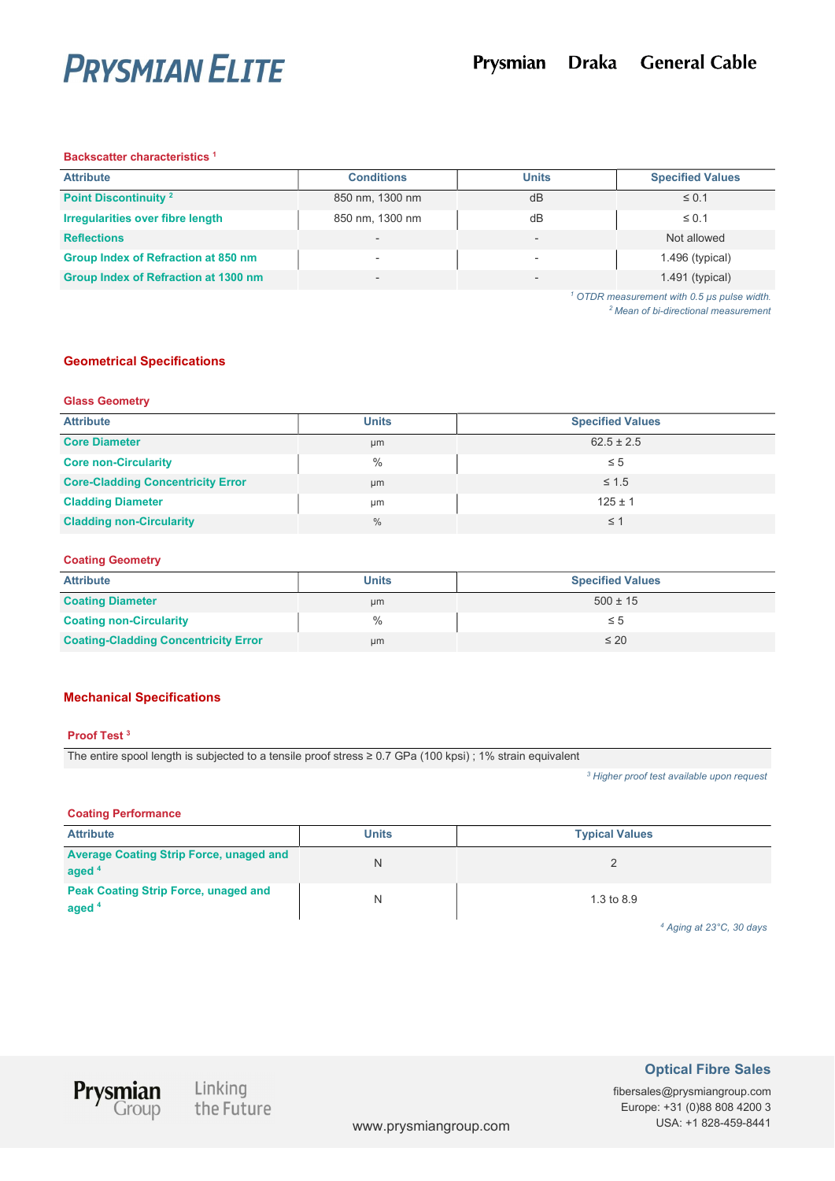

#### Backscatter characteristics <sup>1</sup>

| <b>Attribute</b>                        | <b>Conditions</b>        | <b>Units</b> | <b>Specified Values</b>                         |
|-----------------------------------------|--------------------------|--------------|-------------------------------------------------|
| Point Discontinuity <sup>2</sup>        | 850 nm, 1300 nm          | dB           | $\leq$ 0.1                                      |
| <b>Irregularities over fibre length</b> | 850 nm, 1300 nm          | dB           | $\leq 0.1$                                      |
| <b>Reflections</b>                      | $\overline{\phantom{a}}$ |              | Not allowed                                     |
| Group Index of Refraction at 850 nm     |                          |              | $1.496$ (typical)                               |
| Group Index of Refraction at 1300 nm    | -                        |              | $1.491$ (typical)                               |
|                                         |                          |              | $\sim$ OTDR measurement with 0.5 us nulse width |

 OTDR measurement with 0.5 µs pulse width. <sup>2</sup> Mean of bi-directional measurement

#### Geometrical Specifications

#### Glass Geometry

| <b>Attribute</b>                         | <b>Units</b> | <b>Specified Values</b> |
|------------------------------------------|--------------|-------------------------|
| <b>Core Diameter</b>                     | µm           | $62.5 \pm 2.5$          |
| <b>Core non-Circularity</b>              | $\%$         | $\leq 5$                |
| <b>Core-Cladding Concentricity Error</b> | µm           | $\leq 1.5$              |
| <b>Cladding Diameter</b>                 | μm           | $125 \pm 1$             |
| <b>Cladding non-Circularity</b>          | $\%$         | $\leq$ 1                |

#### Coating Geometry

| <b>Attribute</b>                            | <b>Units</b> | <b>Specified Values</b> |
|---------------------------------------------|--------------|-------------------------|
| <b>Coating Diameter</b>                     | µm           | $500 \pm 15$            |
| <b>Coating non-Circularity</b>              | $\%$         | $\leq 5$                |
| <b>Coating-Cladding Concentricity Error</b> | µm           | $\leq 20$               |

# Mechanical Specifications

#### Proof Test <sup>3</sup>

The entire spool length is subjected to a tensile proof stress ≥ 0.7 GPa (100 kpsi) ; 1% strain equivalent

<sup>3</sup> Higher proof test available upon request

#### Coating Performance

| <b>Attribute</b>                                           | <b>Units</b> | <b>Typical Values</b> |
|------------------------------------------------------------|--------------|-----------------------|
| <b>Average Coating Strip Force, unaged and</b><br>aged $4$ |              |                       |
| <b>Peak Coating Strip Force, unaged and</b><br>aged $4$    |              | $1.3$ to $8.9$        |

4 Aging at 23°C, 30 days